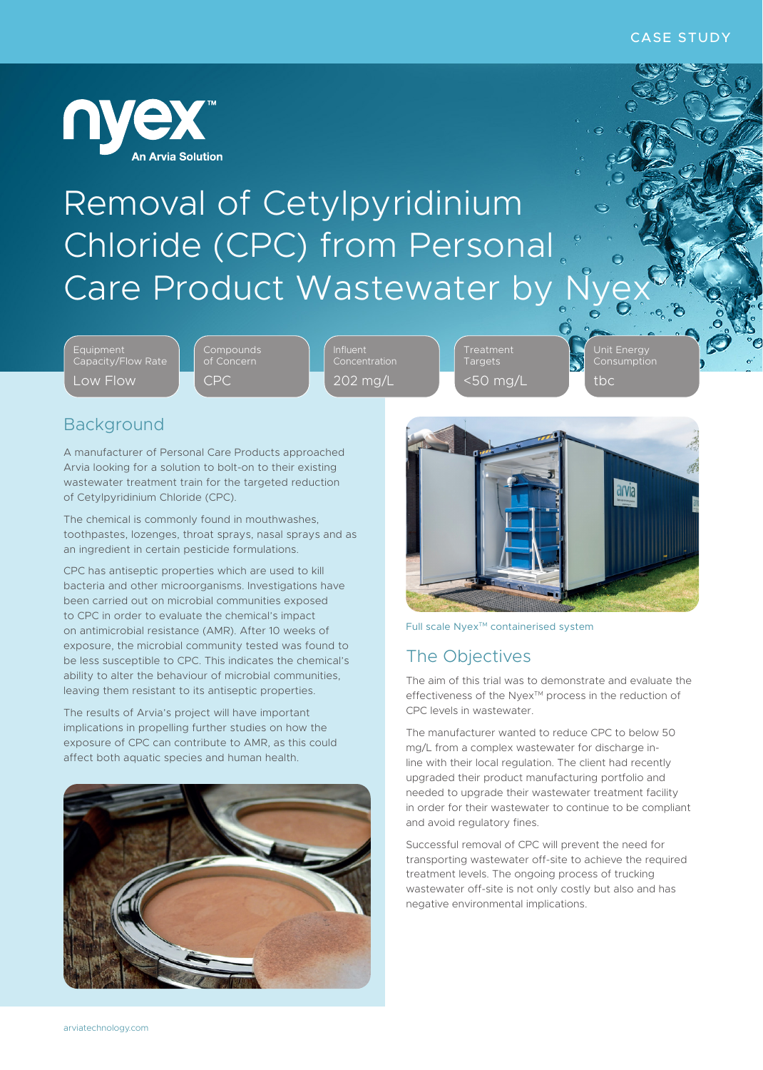

## Removal of Cetylpyridinium Chloride (CPC) from Personal Care Product Wastewater by

Equipment Capacity/Flow Rate Low Flow

**Compounds** of Concern CPC

Influent Concentration 202 mg/L

Treatment Targets <50 mg/L Unit Energy tbc

#### Background

A manufacturer of Personal Care Products approached Arvia looking for a solution to bolt-on to their existing wastewater treatment train for the targeted reduction of Cetylpyridinium Chloride (CPC).

The chemical is commonly found in mouthwashes, toothpastes, lozenges, throat sprays, nasal sprays and as an ingredient in certain pesticide formulations.

CPC has antiseptic properties which are used to kill bacteria and other microorganisms. Investigations have been carried out on microbial communities exposed to CPC in order to evaluate the chemical's impact on antimicrobial resistance (AMR). After 10 weeks of exposure, the microbial community tested was found to be less susceptible to CPC. This indicates the chemical's ability to alter the behaviour of microbial communities, leaving them resistant to its antiseptic properties.

The results of Arvia's project will have important implications in propelling further studies on how the exposure of CPC can contribute to AMR, as this could affect both aquatic species and human health.





Full scale Nyex<sup>™</sup> containerised system

### The Objectives

The aim of this trial was to demonstrate and evaluate the effectiveness of the Nyex™ process in the reduction of CPC levels in wastewater.

The manufacturer wanted to reduce CPC to below 50 mg/L from a complex wastewater for discharge inline with their local regulation. The client had recently upgraded their product manufacturing portfolio and needed to upgrade their wastewater treatment facility in order for their wastewater to continue to be compliant and avoid regulatory fines.

Successful removal of CPC will prevent the need for transporting wastewater off-site to achieve the required treatment levels. The ongoing process of trucking wastewater off-site is not only costly but also and has negative environmental implications.